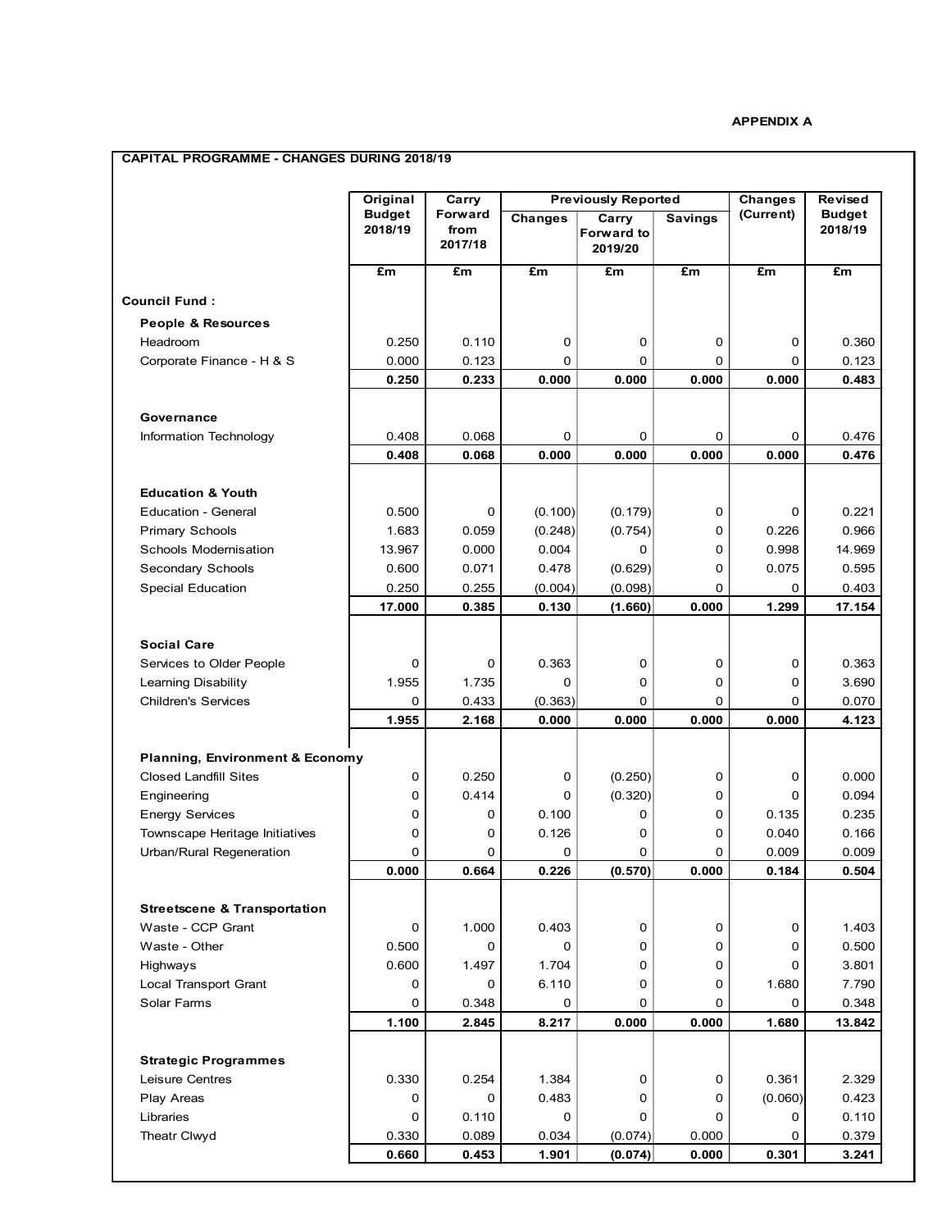## **APPENDIX A**

## **CAPITAL PROGRAMME - CHANGES DURING 2018/19**

|                                                              | Original                 | Carry                      |                | <b>Previously Reported</b>            | <b>Changes</b> | Revised     |                          |
|--------------------------------------------------------------|--------------------------|----------------------------|----------------|---------------------------------------|----------------|-------------|--------------------------|
|                                                              | <b>Budget</b><br>2018/19 | Forward<br>from<br>2017/18 | <b>Changes</b> | Carry<br><b>Forward to</b><br>2019/20 | <b>Savings</b> | (Current)   | <b>Budget</b><br>2018/19 |
|                                                              | £m                       | £m                         | £m             | £m                                    | £m             | £m          | £m                       |
| <b>Council Fund:</b>                                         |                          |                            |                |                                       |                |             |                          |
| People & Resources                                           |                          |                            |                |                                       |                |             |                          |
| Headroom                                                     | 0.250                    | 0.110                      | 0              | 0                                     | 0              | 0           | 0.360                    |
| Corporate Finance - H & S                                    | 0.000                    | 0.123                      | 0              | 0                                     | 0              | 0           | 0.123                    |
|                                                              | 0.250                    | 0.233                      | 0.000          | 0.000                                 | 0.000          | 0.000       | 0.483                    |
|                                                              |                          |                            |                |                                       |                |             |                          |
| Governance                                                   |                          |                            |                |                                       |                |             |                          |
| Information Technology                                       | 0.408                    | 0.068                      | 0              | 0                                     | 0              | 0           | 0.476                    |
|                                                              | 0.408                    | 0.068                      | 0.000          | 0.000                                 | 0.000          | 0.000       | 0.476                    |
| <b>Education &amp; Youth</b>                                 |                          |                            |                |                                       |                |             |                          |
| <b>Education - General</b>                                   | 0.500                    | 0                          | (0.100)        | (0.179)                               | 0              | 0           | 0.221                    |
| <b>Primary Schools</b>                                       | 1.683                    | 0.059                      | (0.248)        | (0.754)                               | 0              | 0.226       | 0.966                    |
| Schools Modernisation                                        | 13.967                   | 0.000                      | 0.004          | 0                                     | 0              | 0.998       | 14.969                   |
| Secondary Schools                                            | 0.600                    | 0.071                      | 0.478          | (0.629)                               | 0              | 0.075       | 0.595                    |
| <b>Special Education</b>                                     | 0.250                    | 0.255                      | (0.004)        | (0.098)                               | 0              | 0           | 0.403                    |
|                                                              | 17.000                   | 0.385                      | 0.130          | (1.660)                               | 0.000          | 1.299       | 17.154                   |
|                                                              |                          |                            |                |                                       |                |             |                          |
| <b>Social Care</b>                                           |                          |                            |                |                                       |                |             |                          |
| Services to Older People                                     | 0                        | 0                          | 0.363          | 0                                     | 0              | 0           | 0.363                    |
| Learning Disability                                          | 1.955                    | 1.735                      | $\mathbf 0$    | 0                                     | 0              | $\mathbf 0$ | 3.690                    |
| <b>Children's Services</b>                                   | 0                        | 0.433                      | (0.363)        | 0                                     | 0              | $\Omega$    | 0.070                    |
|                                                              | 1.955                    | 2.168                      | 0.000          | 0.000                                 | 0.000          | 0.000       | 4.123                    |
| <b>Planning, Environment &amp; Economy</b>                   |                          |                            |                |                                       |                |             |                          |
| <b>Closed Landfill Sites</b>                                 | 0                        | 0.250                      | 0              | (0.250)                               | 0              | 0           | 0.000                    |
| Engineering                                                  | 0                        | 0.414                      | 0              | (0.320)                               | 0              | 0           | 0.094                    |
| <b>Energy Services</b>                                       | 0                        | 0                          | 0.100          | 0                                     | 0              | 0.135       | 0.235                    |
| Townscape Heritage Initiatives                               | 0                        | 0                          | 0.126          | 0                                     | $\Omega$       | 0.040       | 0.166                    |
| Urban/Rural Regeneration                                     | 0                        | 0                          | 0              | 0                                     | 0              | 0.009       | 0.009                    |
|                                                              | 0.000                    | 0.664                      | 0.226          | (0.570)                               | 0.000          | 0.184       | 0.504                    |
|                                                              |                          |                            |                |                                       |                |             |                          |
| <b>Streetscene &amp; Transportation</b><br>Waste - CCP Grant | 0                        | 1.000                      | 0.403          | 0                                     |                |             | 1.403                    |
| Waste - Other                                                | 0.500                    | 0                          | 0              | 0                                     | 0<br>0         | 0<br>0      | 0.500                    |
| Highways                                                     | 0.600                    | 1.497                      | 1.704          | 0                                     | 0              | 0           | 3.801                    |
| Local Transport Grant                                        | 0                        | 0                          | 6.110          | 0                                     | 0              | 1.680       | 7.790                    |
| Solar Farms                                                  | 0                        | 0.348                      | 0              | 0                                     | 0              | 0           | 0.348                    |
|                                                              | 1.100                    | 2.845                      | 8.217          | 0.000                                 | 0.000          | 1.680       | 13.842                   |
|                                                              |                          |                            |                |                                       |                |             |                          |
| <b>Strategic Programmes</b>                                  |                          |                            |                |                                       |                |             |                          |
| Leisure Centres                                              | 0.330                    | 0.254                      | 1.384          | 0                                     | 0              | 0.361       | 2.329                    |
| Play Areas                                                   | 0                        | 0                          | 0.483          | 0                                     | 0              | (0.060)     | 0.423                    |
| Libraries                                                    | 0                        | 0.110                      | 0              | 0                                     | 0              | 0           | 0.110                    |
| Theatr Clwyd                                                 | 0.330                    | 0.089                      | 0.034          | (0.074)                               | 0.000          | 0           | 0.379                    |
|                                                              | 0.660                    | 0.453                      | 1.901          | (0.074)                               | 0.000          | 0.301       | 3.241                    |